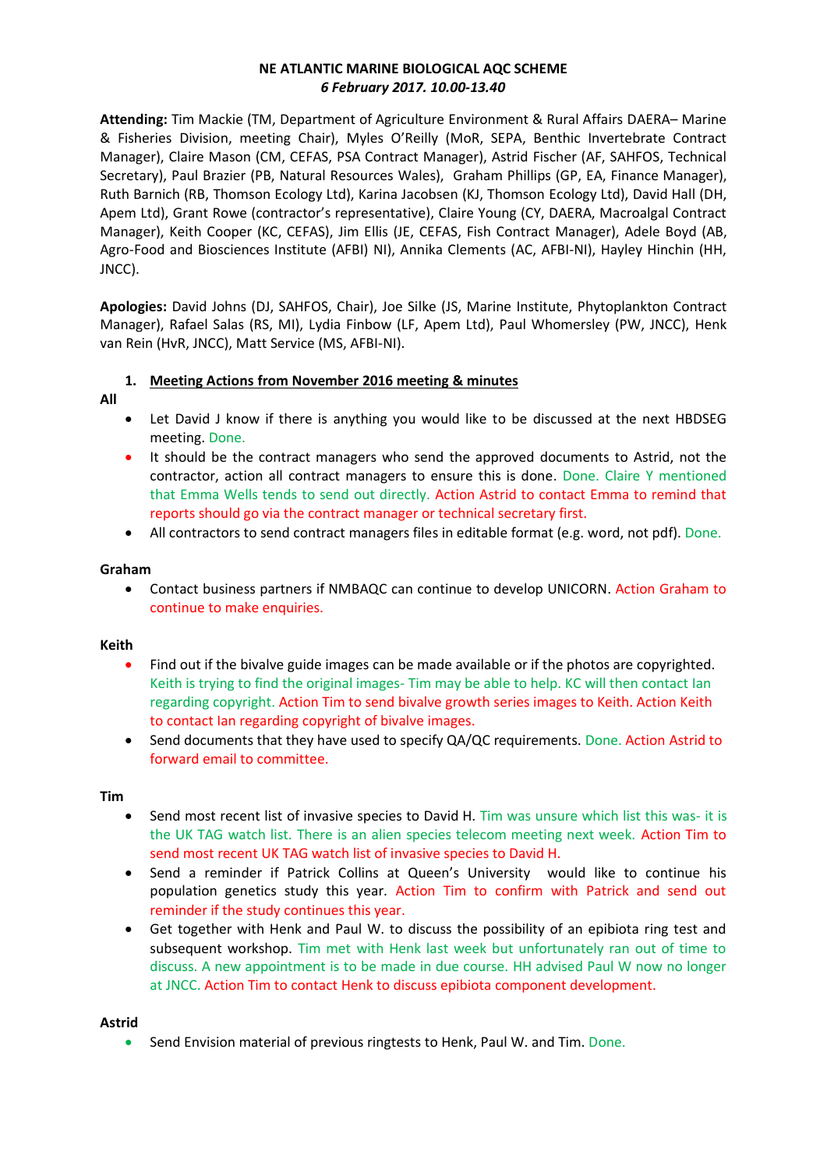# **NE ATLANTIC MARINE BIOLOGICAL AQC SCHEME**  *6 February 2017. 10.00-13.40*

**Attending:** Tim Mackie (TM, Department of Agriculture Environment & Rural Affairs DAERA– Marine & Fisheries Division, meeting Chair), Myles O'Reilly (MoR, SEPA, Benthic Invertebrate Contract Manager), Claire Mason (CM, CEFAS, PSA Contract Manager), Astrid Fischer (AF, SAHFOS, Technical Secretary), Paul Brazier (PB, Natural Resources Wales), Graham Phillips (GP, EA, Finance Manager), Ruth Barnich (RB, Thomson Ecology Ltd), Karina Jacobsen (KJ, Thomson Ecology Ltd), David Hall (DH, Apem Ltd), Grant Rowe (contractor's representative), Claire Young (CY, DAERA, Macroalgal Contract Manager), Keith Cooper (KC, CEFAS), Jim Ellis (JE, CEFAS, Fish Contract Manager), Adele Boyd (AB, Agro-Food and Biosciences Institute (AFBI) NI), Annika Clements (AC, AFBI-NI), Hayley Hinchin (HH, JNCC).

**Apologies:** David Johns (DJ, SAHFOS, Chair), Joe Silke (JS, Marine Institute, Phytoplankton Contract Manager), Rafael Salas (RS, MI), Lydia Finbow (LF, Apem Ltd), Paul Whomersley (PW, JNCC), Henk van Rein (HvR, JNCC), Matt Service (MS, AFBI-NI).

## **1. Meeting Actions from November 2016 meeting & minutes**

- **All**
- Let David J know if there is anything you would like to be discussed at the next HBDSEG meeting. Done.
- It should be the contract managers who send the approved documents to Astrid, not the contractor, action all contract managers to ensure this is done. Done. Claire Y mentioned that Emma Wells tends to send out directly. Action Astrid to contact Emma to remind that reports should go via the contract manager or technical secretary first.
- All contractors to send contract managers files in editable format (e.g. word, not pdf). Done.

## **Graham**

• Contact business partners if NMBAQC can continue to develop UNICORN. Action Graham to continue to make enquiries.

## **Keith**

- Find out if the bivalve guide images can be made available or if the photos are copyrighted. Keith is trying to find the original images- Tim may be able to help. KC will then contact Ian regarding copyright. Action Tim to send bivalve growth series images to Keith. Action Keith to contact Ian regarding copyright of bivalve images.
- Send documents that they have used to specify QA/QC requirements. Done. Action Astrid to forward email to committee.

## **Tim**

- Send most recent list of invasive species to David H. Tim was unsure which list this was- it is the UK TAG watch list. There is an alien species telecom meeting next week. Action Tim to send most recent UK TAG watch list of invasive species to David H.
- Send a reminder if Patrick Collins at Queen's University would like to continue his population genetics study this year. Action Tim to confirm with Patrick and send out reminder if the study continues this year.
- Get together with Henk and Paul W. to discuss the possibility of an epibiota ring test and subsequent workshop. Tim met with Henk last week but unfortunately ran out of time to discuss. A new appointment is to be made in due course. HH advised Paul W now no longer at JNCC. Action Tim to contact Henk to discuss epibiota component development.

## **Astrid**

• Send Envision material of previous ringtests to Henk, Paul W. and Tim. Done.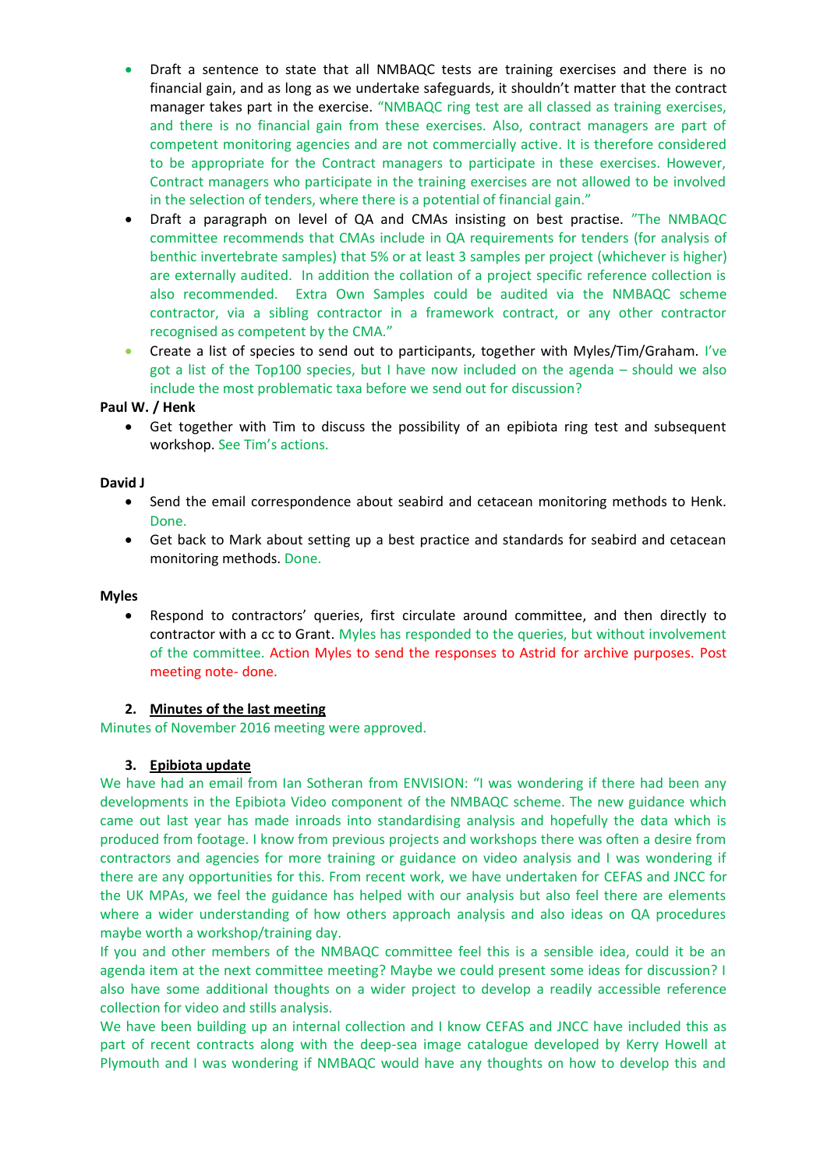- Draft a sentence to state that all NMBAQC tests are training exercises and there is no financial gain, and as long as we undertake safeguards, it shouldn't matter that the contract manager takes part in the exercise. "NMBAQC ring test are all classed as training exercises, and there is no financial gain from these exercises. Also, contract managers are part of competent monitoring agencies and are not commercially active. It is therefore considered to be appropriate for the Contract managers to participate in these exercises. However, Contract managers who participate in the training exercises are not allowed to be involved in the selection of tenders, where there is a potential of financial gain."
- Draft a paragraph on level of QA and CMAs insisting on best practise. "The NMBAQC committee recommends that CMAs include in QA requirements for tenders (for analysis of benthic invertebrate samples) that 5% or at least 3 samples per project (whichever is higher) are externally audited. In addition the collation of a project specific reference collection is also recommended. Extra Own Samples could be audited via the NMBAQC scheme contractor, via a sibling contractor in a framework contract, or any other contractor recognised as competent by the CMA."
- Create a list of species to send out to participants, together with Myles/Tim/Graham. I've got a list of the Top100 species, but I have now included on the agenda – should we also include the most problematic taxa before we send out for discussion?

## **Paul W. / Henk**

• Get together with Tim to discuss the possibility of an epibiota ring test and subsequent workshop. See Tim's actions.

## **David J**

- Send the email correspondence about seabird and cetacean monitoring methods to Henk. Done.
- Get back to Mark about setting up a best practice and standards for seabird and cetacean monitoring methods. Done.

## **Myles**

• Respond to contractors' queries, first circulate around committee, and then directly to contractor with a cc to Grant. Myles has responded to the queries, but without involvement of the committee. Action Myles to send the responses to Astrid for archive purposes. Post meeting note- done.

## **2. Minutes of the last meeting**

Minutes of November 2016 meeting were approved.

# **3. Epibiota update**

We have had an email from Ian Sotheran from ENVISION: "I was wondering if there had been any developments in the Epibiota Video component of the NMBAQC scheme. The new guidance which came out last year has made inroads into standardising analysis and hopefully the data which is produced from footage. I know from previous projects and workshops there was often a desire from contractors and agencies for more training or guidance on video analysis and I was wondering if there are any opportunities for this. From recent work, we have undertaken for CEFAS and JNCC for the UK MPAs, we feel the guidance has helped with our analysis but also feel there are elements where a wider understanding of how others approach analysis and also ideas on QA procedures maybe worth a workshop/training day.

If you and other members of the NMBAQC committee feel this is a sensible idea, could it be an agenda item at the next committee meeting? Maybe we could present some ideas for discussion? I also have some additional thoughts on a wider project to develop a readily accessible reference collection for video and stills analysis.

We have been building up an internal collection and I know CEFAS and JNCC have included this as part of recent contracts along with the deep-sea image catalogue developed by Kerry Howell at Plymouth and I was wondering if NMBAQC would have any thoughts on how to develop this and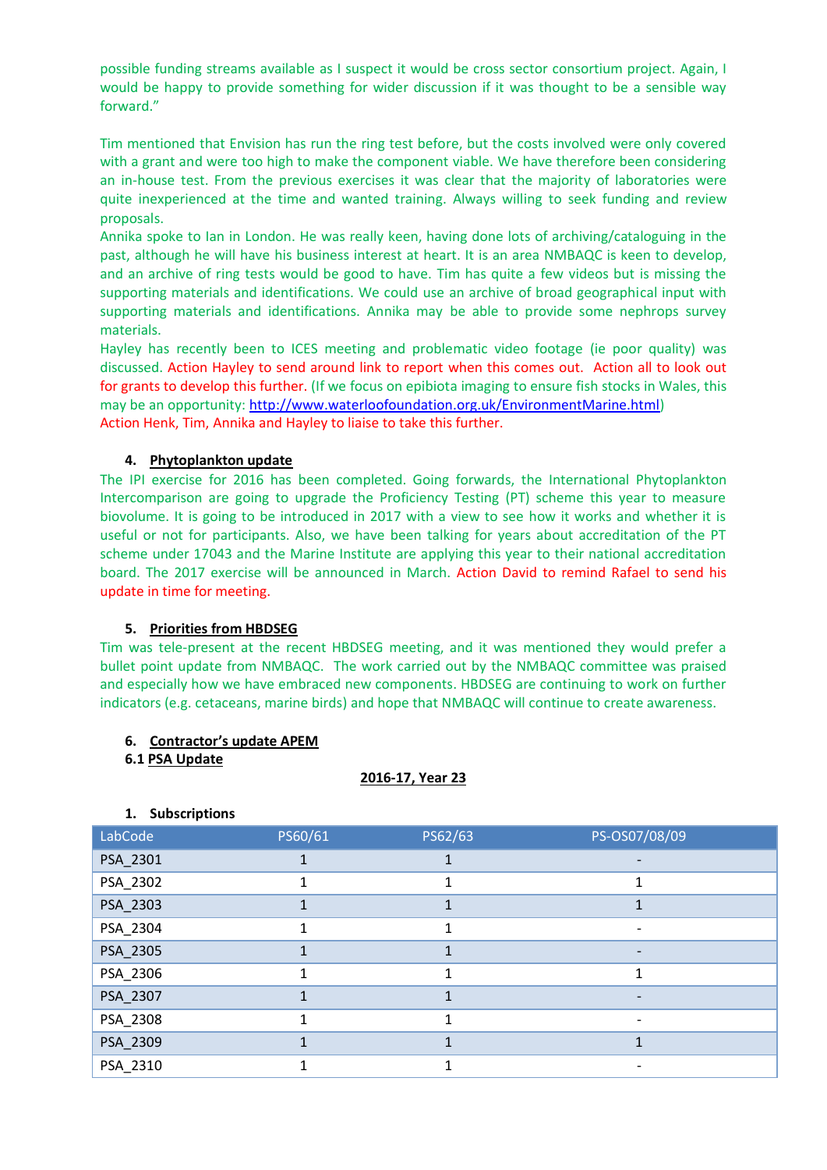possible funding streams available as I suspect it would be cross sector consortium project. Again, I would be happy to provide something for wider discussion if it was thought to be a sensible way forward."

Tim mentioned that Envision has run the ring test before, but the costs involved were only covered with a grant and were too high to make the component viable. We have therefore been considering an in-house test. From the previous exercises it was clear that the majority of laboratories were quite inexperienced at the time and wanted training. Always willing to seek funding and review proposals.

Annika spoke to Ian in London. He was really keen, having done lots of archiving/cataloguing in the past, although he will have his business interest at heart. It is an area NMBAQC is keen to develop, and an archive of ring tests would be good to have. Tim has quite a few videos but is missing the supporting materials and identifications. We could use an archive of broad geographical input with supporting materials and identifications. Annika may be able to provide some nephrops survey materials.

Hayley has recently been to ICES meeting and problematic video footage (ie poor quality) was discussed. Action Hayley to send around link to report when this comes out. Action all to look out for grants to develop this further. (If we focus on epibiota imaging to ensure fish stocks in Wales, this may be an opportunity: [http://www.waterloofoundation.org.uk/EnvironmentMarine.html\)](http://www.waterloofoundation.org.uk/EnvironmentMarine.html) Action Henk, Tim, Annika and Hayley to liaise to take this further.

## **4. Phytoplankton update**

The IPI exercise for 2016 has been completed. Going forwards, the International Phytoplankton Intercomparison are going to upgrade the Proficiency Testing (PT) scheme this year to measure biovolume. It is going to be introduced in 2017 with a view to see how it works and whether it is useful or not for participants. Also, we have been talking for years about accreditation of the PT scheme under 17043 and the Marine Institute are applying this year to their national accreditation board. The 2017 exercise will be announced in March. Action David to remind Rafael to send his update in time for meeting.

## **5. Priorities from HBDSEG**

Tim was tele-present at the recent HBDSEG meeting, and it was mentioned they would prefer a bullet point update from NMBAQC. The work carried out by the NMBAQC committee was praised and especially how we have embraced new components. HBDSEG are continuing to work on further indicators (e.g. cetaceans, marine birds) and hope that NMBAQC will continue to create awareness.

## **6. Contractor's update APEM**

## **6.1 PSA Update**

**1. Subscriptions**

## **2016-17, Year 23**

| abCode | <b>PS60</b> |
|--------|-------------|
|        |             |

| LabCode  | PS60/61 | PS62/63 | PS-OS07/08/09 |
|----------|---------|---------|---------------|
| PSA_2301 |         |         |               |
| PSA_2302 |         |         |               |
| PSA_2303 |         |         |               |
| PSA_2304 |         |         |               |
| PSA_2305 |         |         |               |
| PSA_2306 |         |         | 1             |
| PSA_2307 |         |         |               |
| PSA_2308 |         | 1       |               |
| PSA_2309 |         |         |               |
| PSA_2310 |         |         |               |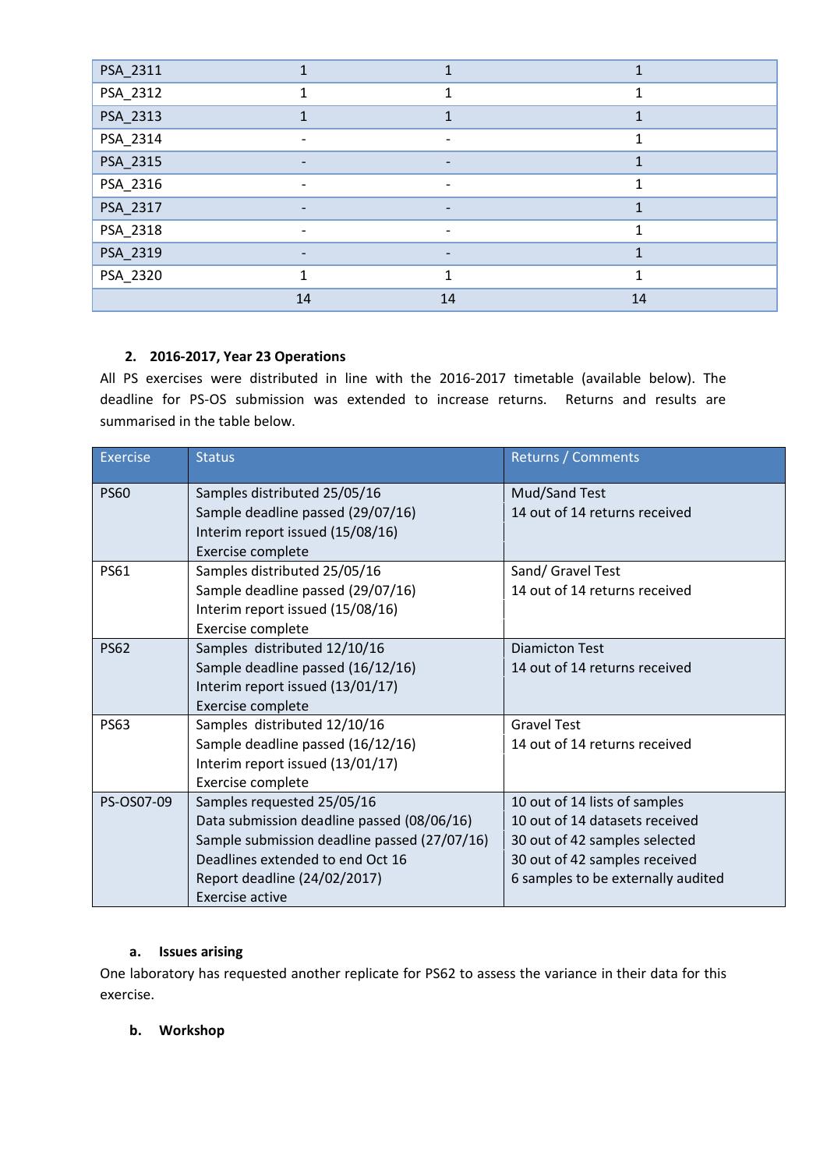| PSA_2311 |                              |                              |              |
|----------|------------------------------|------------------------------|--------------|
| PSA_2312 |                              | 1                            | $\mathbf{1}$ |
| PSA_2313 |                              |                              |              |
| PSA_2314 |                              | -                            |              |
| PSA_2315 | $\qquad \qquad \blacksquare$ | $\qquad \qquad \blacksquare$ |              |
| PSA_2316 |                              | $\overline{\phantom{a}}$     | 1            |
| PSA_2317 | $\overline{\phantom{0}}$     | $\overline{\phantom{a}}$     |              |
| PSA_2318 |                              |                              |              |
| PSA_2319 |                              |                              |              |
| PSA_2320 |                              |                              | 1            |
|          | 14                           | 14                           | 14           |

# **2. 2016-2017, Year 23 Operations**

All PS exercises were distributed in line with the 2016-2017 timetable (available below). The deadline for PS-OS submission was extended to increase returns. Returns and results are summarised in the table below.

| Exercise    | <b>Status</b>                                                                                                                                                                                                          | Returns / Comments                                                                                                                                                      |
|-------------|------------------------------------------------------------------------------------------------------------------------------------------------------------------------------------------------------------------------|-------------------------------------------------------------------------------------------------------------------------------------------------------------------------|
| <b>PS60</b> | Samples distributed 25/05/16<br>Sample deadline passed (29/07/16)<br>Interim report issued (15/08/16)<br>Exercise complete                                                                                             | Mud/Sand Test<br>14 out of 14 returns received                                                                                                                          |
| <b>PS61</b> | Samples distributed 25/05/16<br>Sample deadline passed (29/07/16)<br>Interim report issued (15/08/16)<br>Exercise complete                                                                                             | Sand/ Gravel Test<br>14 out of 14 returns received                                                                                                                      |
| <b>PS62</b> | Samples distributed 12/10/16<br>Sample deadline passed (16/12/16)<br>Interim report issued (13/01/17)<br>Exercise complete                                                                                             | <b>Diamicton Test</b><br>14 out of 14 returns received                                                                                                                  |
| <b>PS63</b> | Samples distributed 12/10/16<br>Sample deadline passed (16/12/16)<br>Interim report issued (13/01/17)<br>Exercise complete                                                                                             | <b>Gravel Test</b><br>14 out of 14 returns received                                                                                                                     |
| PS-OS07-09  | Samples requested 25/05/16<br>Data submission deadline passed (08/06/16)<br>Sample submission deadline passed (27/07/16)<br>Deadlines extended to end Oct 16<br>Report deadline (24/02/2017)<br><b>Exercise active</b> | 10 out of 14 lists of samples<br>10 out of 14 datasets received<br>30 out of 42 samples selected<br>30 out of 42 samples received<br>6 samples to be externally audited |

# **a. Issues arising**

One laboratory has requested another replicate for PS62 to assess the variance in their data for this exercise.

# **b. Workshop**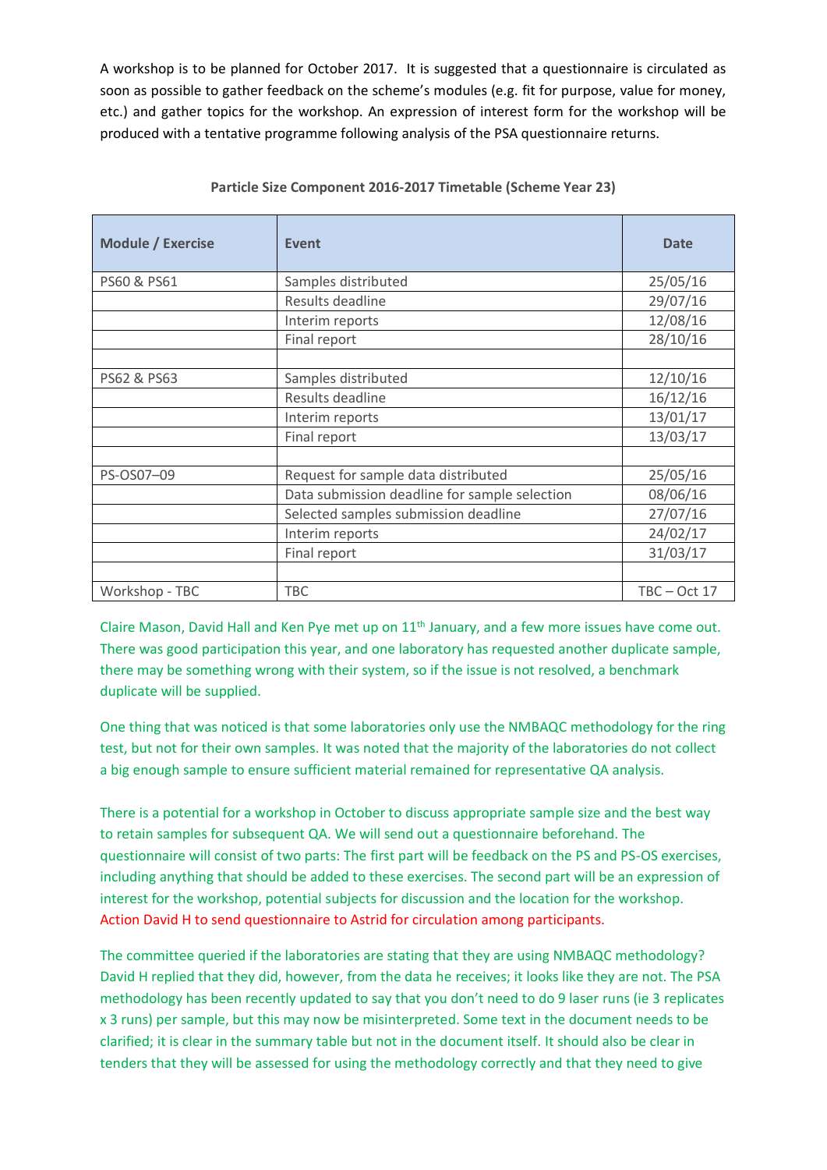A workshop is to be planned for October 2017. It is suggested that a questionnaire is circulated as soon as possible to gather feedback on the scheme's modules (e.g. fit for purpose, value for money, etc.) and gather topics for the workshop. An expression of interest form for the workshop will be produced with a tentative programme following analysis of the PSA questionnaire returns.

| <b>Module / Exercise</b> | Event                                         | <b>Date</b>    |
|--------------------------|-----------------------------------------------|----------------|
| PS60 & PS61              | Samples distributed                           | 25/05/16       |
|                          | Results deadline                              | 29/07/16       |
|                          | Interim reports                               | 12/08/16       |
|                          | Final report                                  | 28/10/16       |
|                          |                                               |                |
| PS62 & PS63              | Samples distributed                           | 12/10/16       |
|                          | Results deadline                              | 16/12/16       |
|                          | Interim reports                               | 13/01/17       |
|                          | Final report                                  | 13/03/17       |
|                          |                                               |                |
| PS-OS07-09               | Request for sample data distributed           | 25/05/16       |
|                          | Data submission deadline for sample selection | 08/06/16       |
|                          | Selected samples submission deadline          | 27/07/16       |
|                          | Interim reports                               | 24/02/17       |
|                          | Final report                                  | 31/03/17       |
|                          |                                               |                |
| Workshop - TBC           | <b>TBC</b>                                    | $TBC - Oct 17$ |

## **Particle Size Component 2016-2017 Timetable (Scheme Year 23)**

Claire Mason, David Hall and Ken Pye met up on 11<sup>th</sup> January, and a few more issues have come out. There was good participation this year, and one laboratory has requested another duplicate sample, there may be something wrong with their system, so if the issue is not resolved, a benchmark duplicate will be supplied.

One thing that was noticed is that some laboratories only use the NMBAQC methodology for the ring test, but not for their own samples. It was noted that the majority of the laboratories do not collect a big enough sample to ensure sufficient material remained for representative QA analysis.

There is a potential for a workshop in October to discuss appropriate sample size and the best way to retain samples for subsequent QA. We will send out a questionnaire beforehand. The questionnaire will consist of two parts: The first part will be feedback on the PS and PS-OS exercises, including anything that should be added to these exercises. The second part will be an expression of interest for the workshop, potential subjects for discussion and the location for the workshop. Action David H to send questionnaire to Astrid for circulation among participants.

The committee queried if the laboratories are stating that they are using NMBAQC methodology? David H replied that they did, however, from the data he receives; it looks like they are not. The PSA methodology has been recently updated to say that you don't need to do 9 laser runs (ie 3 replicates x 3 runs) per sample, but this may now be misinterpreted. Some text in the document needs to be clarified; it is clear in the summary table but not in the document itself. It should also be clear in tenders that they will be assessed for using the methodology correctly and that they need to give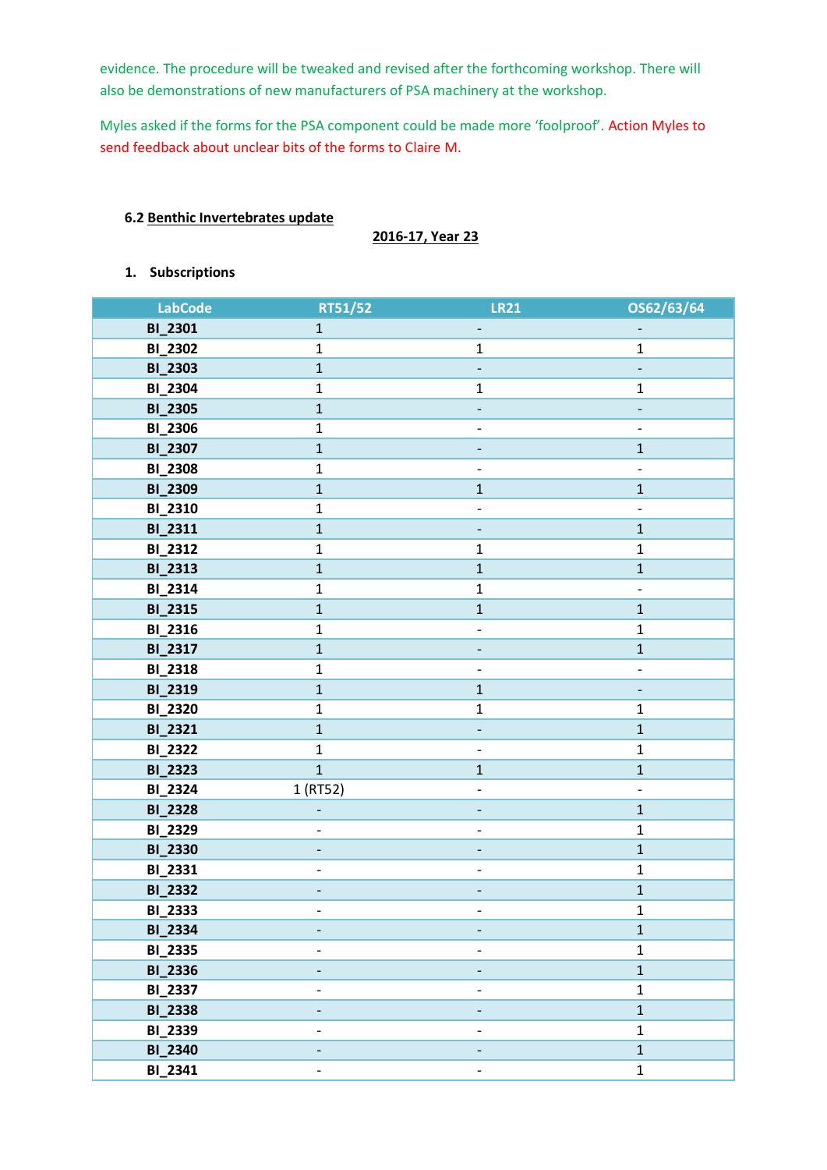evidence. The procedure will be tweaked and revised after the forthcoming workshop. There will also be demonstrations of new manufacturers of PSA machinery at the workshop.

Myles asked if the forms for the PSA component could be made more 'foolproof'. Action Myles to send feedback about unclear bits of the forms to Claire M.

## **6.2 Benthic Invertebrates update**

## **2016-17, Year 23**

# **1. Subscriptions**

| <b>LabCode</b> | RT51/52                  | <b>LR21</b>              | OS62/63/64               |
|----------------|--------------------------|--------------------------|--------------------------|
| <b>BI_2301</b> | $\mathbf{1}$             |                          |                          |
| <b>BI_2302</b> | $\mathbf 1$              | $\mathbf 1$              | $\mathbf{1}$             |
| <b>BI_2303</b> | $\mathbf 1$              | $\blacksquare$           |                          |
| <b>BI_2304</b> | $\mathbf 1$              | $\mathbf{1}$             | $\mathbf{1}$             |
| <b>BI_2305</b> | $\mathbf 1$              |                          |                          |
| <b>BI_2306</b> | $\mathbf{1}$             |                          | $\qquad \qquad -$        |
| <b>BI_2307</b> | $\mathbf 1$              |                          | $\mathbf{1}$             |
| <b>BI_2308</b> | $\mathbf 1$              | $\overline{\phantom{0}}$ | $\overline{\phantom{a}}$ |
| <b>BI_2309</b> | $\mathbf 1$              | $\mathbf 1$              | $\mathbf 1$              |
| <b>BI_2310</b> | $\mathbf 1$              | $\overline{\phantom{0}}$ | $\overline{\phantom{a}}$ |
| BI_2311        | $\mathbf{1}$             | $\overline{a}$           | $\mathbf{1}$             |
| BI_2312        | $\mathbf 1$              | $\mathbf 1$              | $\mathbf{1}$             |
| <b>BI_2313</b> | $\mathbf{1}$             | $\mathbf{1}$             | $\mathbf 1$              |
| <b>BI_2314</b> | $\mathbf 1$              | $\mathbf 1$              | $\qquad \qquad -$        |
| <b>BI_2315</b> | $\mathbf 1$              | $1\,$                    | $\mathbf 1$              |
| <b>BI_2316</b> | $\mathbf{1}$             | $\overline{\phantom{0}}$ | $\mathbf{1}$             |
| BI_2317        | $\mathbf 1$              |                          | $\mathbf 1$              |
| <b>BI_2318</b> | $\mathbf 1$              | $\overline{\phantom{0}}$ |                          |
| <b>BI_2319</b> | $\mathbf 1$              | $\mathbf{1}$             |                          |
| <b>BI_2320</b> | $\mathbf 1$              | $\mathbf 1$              | $\mathbf{1}$             |
| <b>BI_2321</b> | $\mathbf{1}$             |                          | $\mathbf{1}$             |
| <b>BI_2322</b> | $\mathbf{1}$             | $\overline{\phantom{a}}$ | $\mathbf{1}$             |
| <b>BI_2323</b> | $\mathbf{1}$             | $\mathbf 1$              | $\mathbf{1}$             |
| <b>BI_2324</b> | 1 (RT52)                 |                          | $\qquad \qquad -$        |
| <b>BI_2328</b> |                          |                          | $\mathbf 1$              |
| <b>BI_2329</b> | -                        | $\qquad \qquad -$        | $\mathbf 1$              |
| <b>BI_2330</b> | -                        |                          | $\mathbf 1$              |
| BI_2331        | $\overline{\phantom{0}}$ | $\overline{\phantom{0}}$ | $\mathbf 1$              |
| <b>BI_2332</b> |                          |                          | $\mathbf{1}$             |
| <b>BI_2333</b> | -                        | $\qquad \qquad -$        | $\mathbf{1}$             |
| <b>BI_2334</b> | -                        |                          | $\mathbf{1}$             |
| <b>BI_2335</b> |                          |                          | $\mathbf{1}$             |
| <b>BI_2336</b> |                          |                          | $\mathbf{1}$             |
| <b>BI_2337</b> | $\overline{\phantom{0}}$ | $\overline{\phantom{0}}$ | $\mathbf 1$              |
| <b>BI_2338</b> | $\overline{\phantom{a}}$ | $\overline{\phantom{a}}$ | $\mathbf{1}$             |
| <b>BI_2339</b> | $\overline{\phantom{0}}$ |                          | $\mathbf{1}$             |
| <b>BI_2340</b> |                          |                          | $\mathbf{1}$             |
| <b>BI_2341</b> | $\overline{\phantom{0}}$ |                          | $\mathbf{1}$             |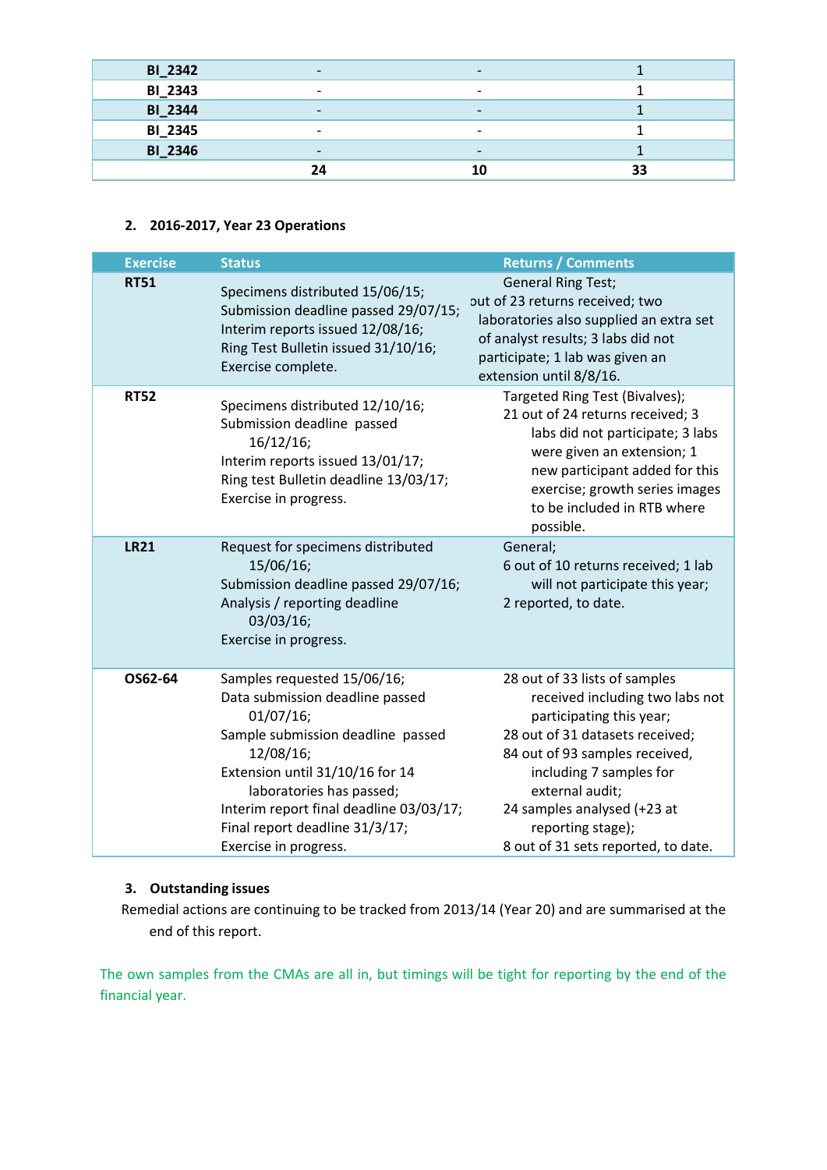| <b>BI_2342</b> | $\overline{\phantom{0}}$ |                          |    |
|----------------|--------------------------|--------------------------|----|
| <b>BI_2343</b> | $\overline{\phantom{0}}$ | $\overline{\phantom{0}}$ |    |
| <b>BI_2344</b> | $\overline{\phantom{0}}$ | $\overline{\phantom{0}}$ |    |
| <b>BI_2345</b> | $\overline{\phantom{0}}$ | $\overline{\phantom{0}}$ |    |
| <b>BI_2346</b> | $\overline{\phantom{a}}$ | $\overline{\phantom{0}}$ |    |
|                | 24                       |                          | 33 |

# **2. 2016-2017, Year 23 Operations**

| <b>Exercise</b> | <b>Status</b>                                                                                                                                                                                                                                                                                         | <b>Returns / Comments</b>                                                                                                                                                                                                                                                                                  |
|-----------------|-------------------------------------------------------------------------------------------------------------------------------------------------------------------------------------------------------------------------------------------------------------------------------------------------------|------------------------------------------------------------------------------------------------------------------------------------------------------------------------------------------------------------------------------------------------------------------------------------------------------------|
| <b>RT51</b>     | Specimens distributed 15/06/15;<br>Submission deadline passed 29/07/15;<br>Interim reports issued 12/08/16;<br>Ring Test Bulletin issued 31/10/16;<br>Exercise complete.                                                                                                                              | <b>General Ring Test;</b><br>out of 23 returns received; two<br>laboratories also supplied an extra set<br>of analyst results; 3 labs did not<br>participate; 1 lab was given an<br>extension until 8/8/16.                                                                                                |
| <b>RT52</b>     | Specimens distributed 12/10/16;<br>Submission deadline passed<br>$16/12/16$ ;<br>Interim reports issued 13/01/17;<br>Ring test Bulletin deadline 13/03/17;<br>Exercise in progress.                                                                                                                   | Targeted Ring Test (Bivalves);<br>21 out of 24 returns received; 3<br>labs did not participate; 3 labs<br>were given an extension; 1<br>new participant added for this<br>exercise; growth series images<br>to be included in RTB where<br>possible.                                                       |
| <b>LR21</b>     | Request for specimens distributed<br>15/06/16;<br>Submission deadline passed 29/07/16;<br>Analysis / reporting deadline<br>03/03/16;<br>Exercise in progress.                                                                                                                                         | General;<br>6 out of 10 returns received; 1 lab<br>will not participate this year;<br>2 reported, to date.                                                                                                                                                                                                 |
| OS62-64         | Samples requested 15/06/16;<br>Data submission deadline passed<br>$01/07/16$ ;<br>Sample submission deadline passed<br>12/08/16;<br>Extension until 31/10/16 for 14<br>laboratories has passed;<br>Interim report final deadline 03/03/17;<br>Final report deadline 31/3/17;<br>Exercise in progress. | 28 out of 33 lists of samples<br>received including two labs not<br>participating this year;<br>28 out of 31 datasets received;<br>84 out of 93 samples received,<br>including 7 samples for<br>external audit;<br>24 samples analysed (+23 at<br>reporting stage);<br>8 out of 31 sets reported, to date. |

# **3. Outstanding issues**

Remedial actions are continuing to be tracked from 2013/14 (Year 20) and are summarised at the end of this report.

The own samples from the CMAs are all in, but timings will be tight for reporting by the end of the financial year.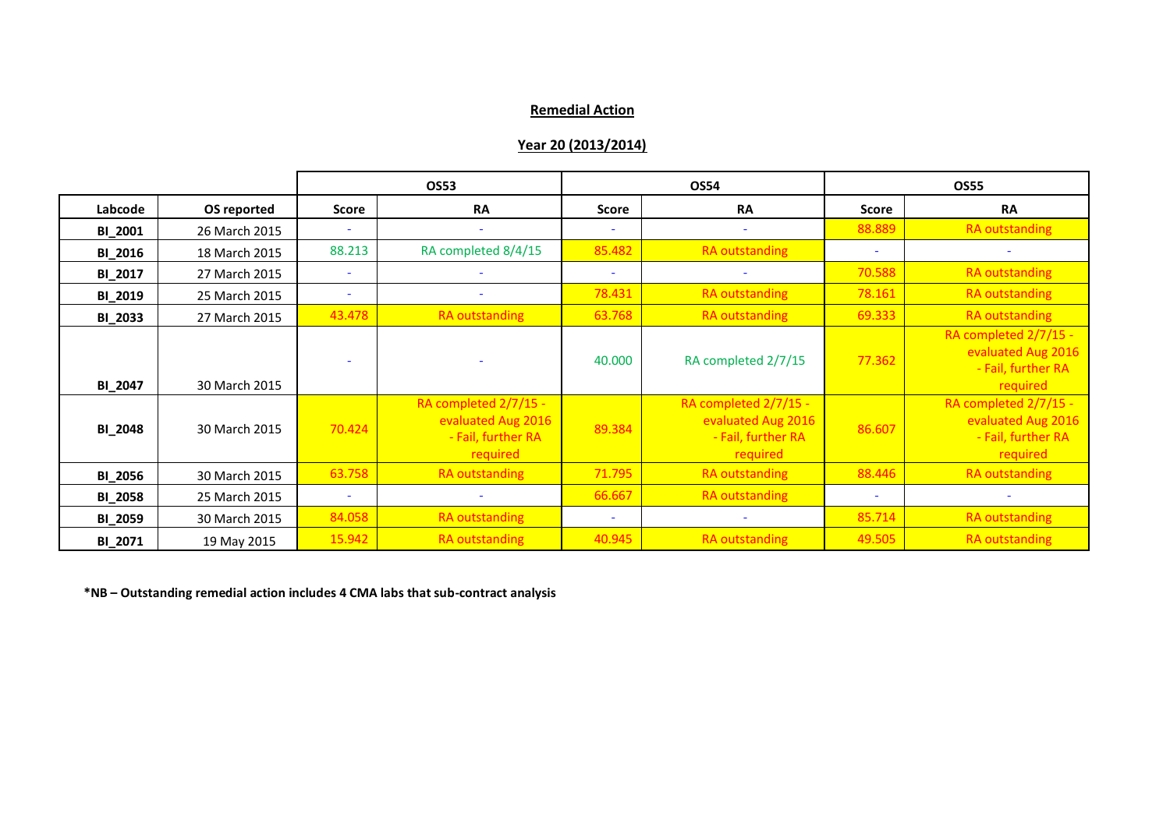# **Remedial Action**

## **Year 20 (2013/2014)**

|                |               |              | OS53                                                                          |              | <b>OS54</b>                                                                   |                          | <b>OS55</b>                                                                   |
|----------------|---------------|--------------|-------------------------------------------------------------------------------|--------------|-------------------------------------------------------------------------------|--------------------------|-------------------------------------------------------------------------------|
| Labcode        | OS reported   | <b>Score</b> | <b>RA</b>                                                                     | <b>Score</b> | <b>RA</b>                                                                     | <b>Score</b>             | <b>RA</b>                                                                     |
| <b>BI_2001</b> | 26 March 2015 |              |                                                                               | $\sim$       |                                                                               | 88.889                   | <b>RA</b> outstanding                                                         |
| <b>BI_2016</b> | 18 March 2015 | 88.213       | RA completed 8/4/15                                                           | 85.482       | <b>RA</b> outstanding                                                         | $\blacksquare$           |                                                                               |
| BI_2017        | 27 March 2015 |              |                                                                               | ٠            |                                                                               | 70.588                   | RA outstanding                                                                |
| <b>BI_2019</b> | 25 March 2015 |              |                                                                               | 78.431       | <b>RA</b> outstanding                                                         | 78.161                   | <b>RA outstanding</b>                                                         |
| <b>BI_2033</b> | 27 March 2015 | 43.478       | <b>RA</b> outstanding                                                         | 63.768       | <b>RA</b> outstanding                                                         | 69.333                   | <b>RA</b> outstanding                                                         |
| <b>BI_2047</b> | 30 March 2015 |              |                                                                               | 40.000       | RA completed 2/7/15                                                           | 77.362                   | RA completed 2/7/15 -<br>evaluated Aug 2016<br>- Fail, further RA<br>required |
| <b>BI_2048</b> | 30 March 2015 | 70.424       | RA completed 2/7/15 -<br>evaluated Aug 2016<br>- Fail, further RA<br>required | 89.384       | RA completed 2/7/15 -<br>evaluated Aug 2016<br>- Fail, further RA<br>required | 86.607                   | RA completed 2/7/15 -<br>evaluated Aug 2016<br>- Fail, further RA<br>required |
| <b>BI_2056</b> | 30 March 2015 | 63.758       | <b>RA outstanding</b>                                                         | 71.795       | <b>RA</b> outstanding                                                         | 88.446                   | <b>RA outstanding</b>                                                         |
| <b>BI_2058</b> | 25 March 2015 | ٠            |                                                                               | 66.667       | <b>RA</b> outstanding                                                         | $\overline{\phantom{a}}$ |                                                                               |
| <b>BI_2059</b> | 30 March 2015 | 84.058       | <b>RA</b> outstanding                                                         | ٠            |                                                                               | 85.714                   | <b>RA</b> outstanding                                                         |
| BI_2071        | 19 May 2015   | 15.942       | <b>RA</b> outstanding                                                         | 40.945       | <b>RA</b> outstanding                                                         | 49.505                   | <b>RA outstanding</b>                                                         |

**\*NB – Outstanding remedial action includes 4 CMA labs that sub-contract analysis**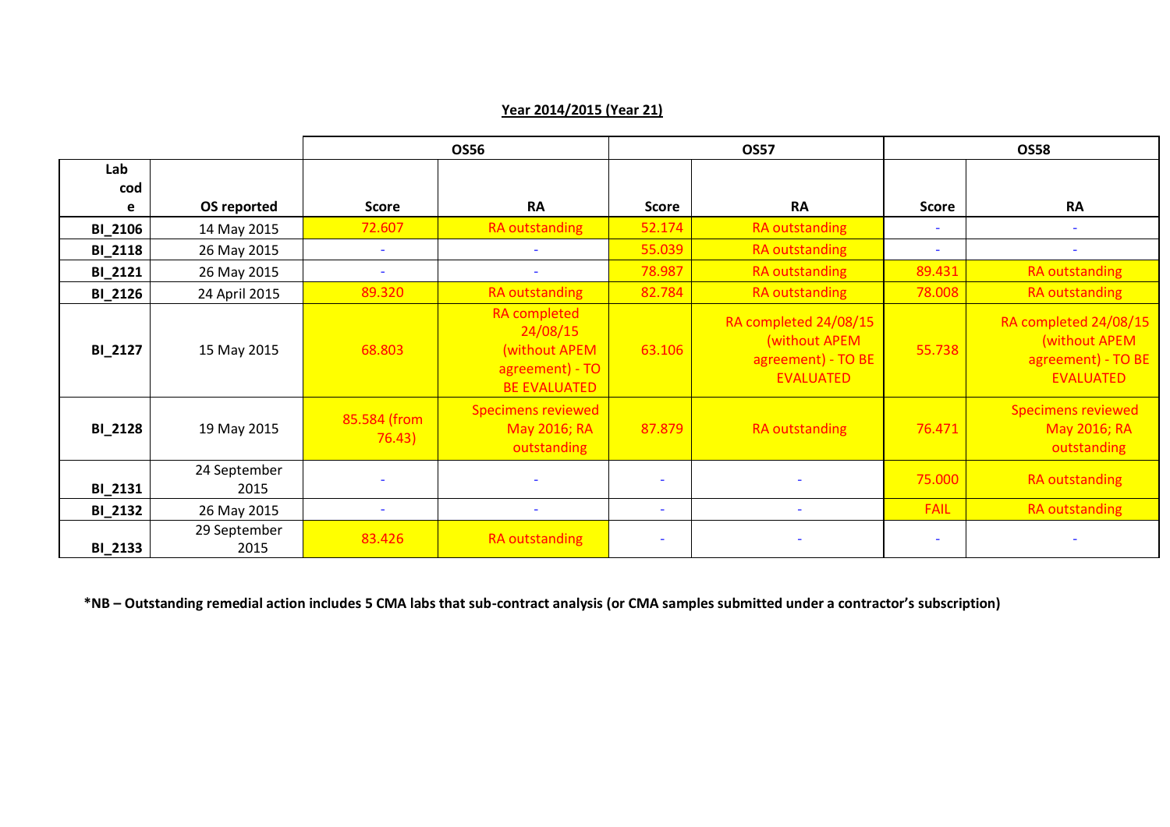|                |                      | <b>OS56</b>              |                                                                                            | <b>OS57</b>              |                                                                                  | <b>OS58</b>              |                                                                                  |
|----------------|----------------------|--------------------------|--------------------------------------------------------------------------------------------|--------------------------|----------------------------------------------------------------------------------|--------------------------|----------------------------------------------------------------------------------|
| Lab<br>cod     |                      |                          |                                                                                            |                          |                                                                                  |                          |                                                                                  |
| e              | OS reported          | <b>Score</b>             | <b>RA</b>                                                                                  | <b>Score</b>             | <b>RA</b>                                                                        | <b>Score</b>             | <b>RA</b>                                                                        |
| <b>BI_2106</b> | 14 May 2015          | 72.607                   | RA outstanding                                                                             | 52.174                   | RA outstanding                                                                   | $\overline{\phantom{a}}$ | $\overline{\phantom{a}}$                                                         |
| <b>BI_2118</b> | 26 May 2015          | $\overline{\phantom{a}}$ | ٠                                                                                          | 55.039                   | RA outstanding                                                                   | $\sim$                   | ٠                                                                                |
| <b>BI_2121</b> | 26 May 2015          | $\overline{\phantom{a}}$ | ۰                                                                                          | 78.987                   | <b>RA</b> outstanding                                                            | 89.431                   | <b>RA</b> outstanding                                                            |
| <b>BI_2126</b> | 24 April 2015        | 89.320                   | <b>RA outstanding</b>                                                                      | 82.784                   | <b>RA</b> outstanding                                                            | 78.008                   | RA outstanding                                                                   |
| <b>BI_2127</b> | 15 May 2015          | 68.803                   | <b>RA</b> completed<br>24/08/15<br>(without APEM<br>agreement) - TO<br><b>BE EVALUATED</b> | 63.106                   | RA completed 24/08/15<br>(without APEM<br>agreement) - TO BE<br><b>EVALUATED</b> | 55.738                   | RA completed 24/08/15<br>(without APEM<br>agreement) - TO BE<br><b>EVALUATED</b> |
| <b>BI_2128</b> | 19 May 2015          | 85.584 (from<br>76.43)   | <b>Specimens reviewed</b><br>May 2016; RA<br>outstanding                                   | 87.879                   | <b>RA outstanding</b>                                                            | 76.471                   | <b>Specimens reviewed</b><br>May 2016; RA<br>outstanding                         |
| <b>BI_2131</b> | 24 September<br>2015 |                          |                                                                                            |                          |                                                                                  | 75.000                   | RA outstanding                                                                   |
| <b>BI_2132</b> | 26 May 2015          |                          | ٠                                                                                          | $\overline{\phantom{a}}$ | $\overline{\phantom{a}}$                                                         | <b>FAIL</b>              | RA outstanding                                                                   |
| <b>BI_2133</b> | 29 September<br>2015 | 83.426                   | <b>RA outstanding</b>                                                                      | $\overline{\phantom{a}}$ |                                                                                  | ٠                        |                                                                                  |

# **Year 2014/2015 (Year 21)**

**\*NB – Outstanding remedial action includes 5 CMA labs that sub-contract analysis (or CMA samples submitted under a contractor's subscription)**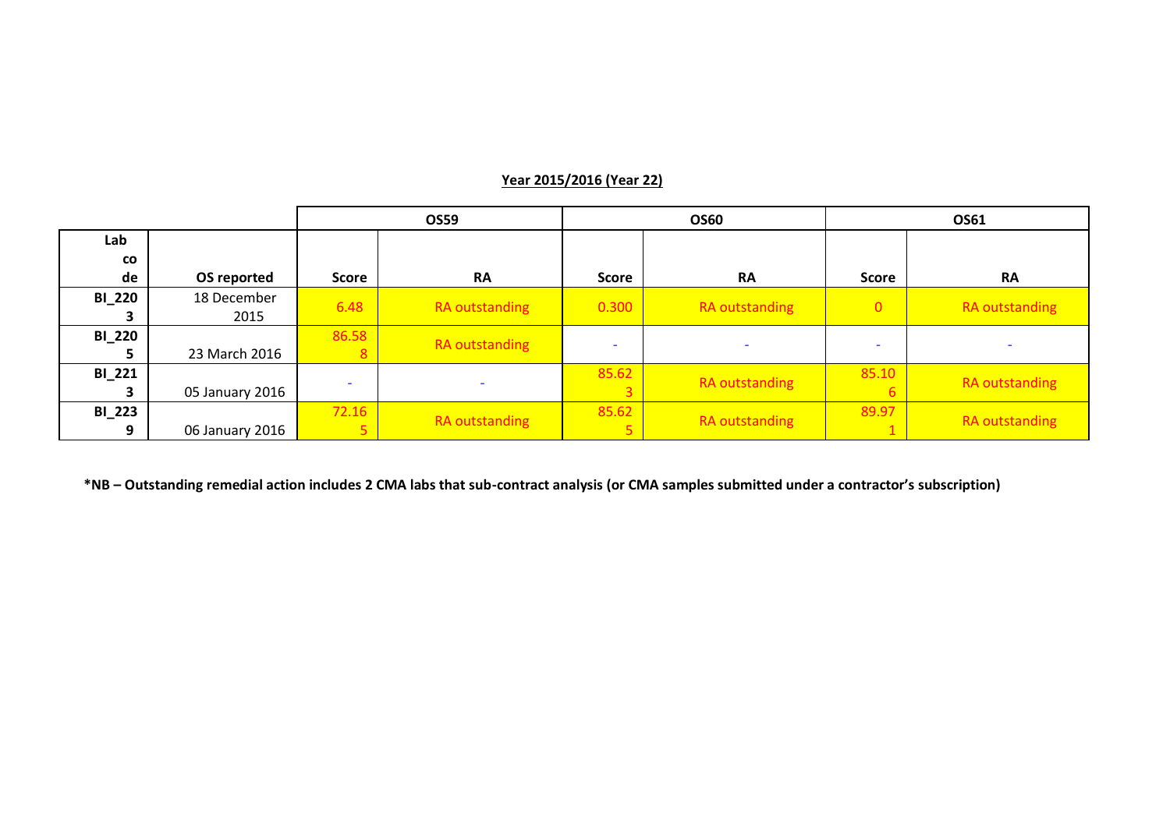|               |                 |                          | <b>OS59</b>    | <b>OS60</b>              |                | OS61                     |                |
|---------------|-----------------|--------------------------|----------------|--------------------------|----------------|--------------------------|----------------|
| Lab           |                 |                          |                |                          |                |                          |                |
| CO            |                 |                          |                |                          |                |                          |                |
| de            | OS reported     | <b>Score</b>             | <b>RA</b>      | Score                    | <b>RA</b>      | Score                    | <b>RA</b>      |
| <b>BI_220</b> | 18 December     | 6.48                     |                | 0.300                    |                | $\overline{0}$           |                |
|               | 2015            |                          | RA outstanding |                          | RA outstanding |                          | RA outstanding |
| <b>BI_220</b> |                 | 86.58                    |                |                          |                |                          |                |
|               | 23 March 2016   | 8                        | RA outstanding | $\overline{\phantom{a}}$ |                | $\overline{\phantom{0}}$ |                |
| <b>BI_221</b> |                 |                          |                | 85.62                    |                | 85.10                    |                |
|               | 05 January 2016 | $\overline{\phantom{a}}$ |                |                          | RA outstanding |                          | RA outstanding |
| <b>BI_223</b> |                 | 72.16                    |                | 85.62                    |                | 89.97                    |                |
| 9             | 06 January 2016 |                          | RA outstanding |                          | RA outstanding |                          | RA outstanding |

# **Year 2015/2016 (Year 22)**

**\*NB – Outstanding remedial action includes 2 CMA labs that sub-contract analysis (or CMA samples submitted under a contractor's subscription)**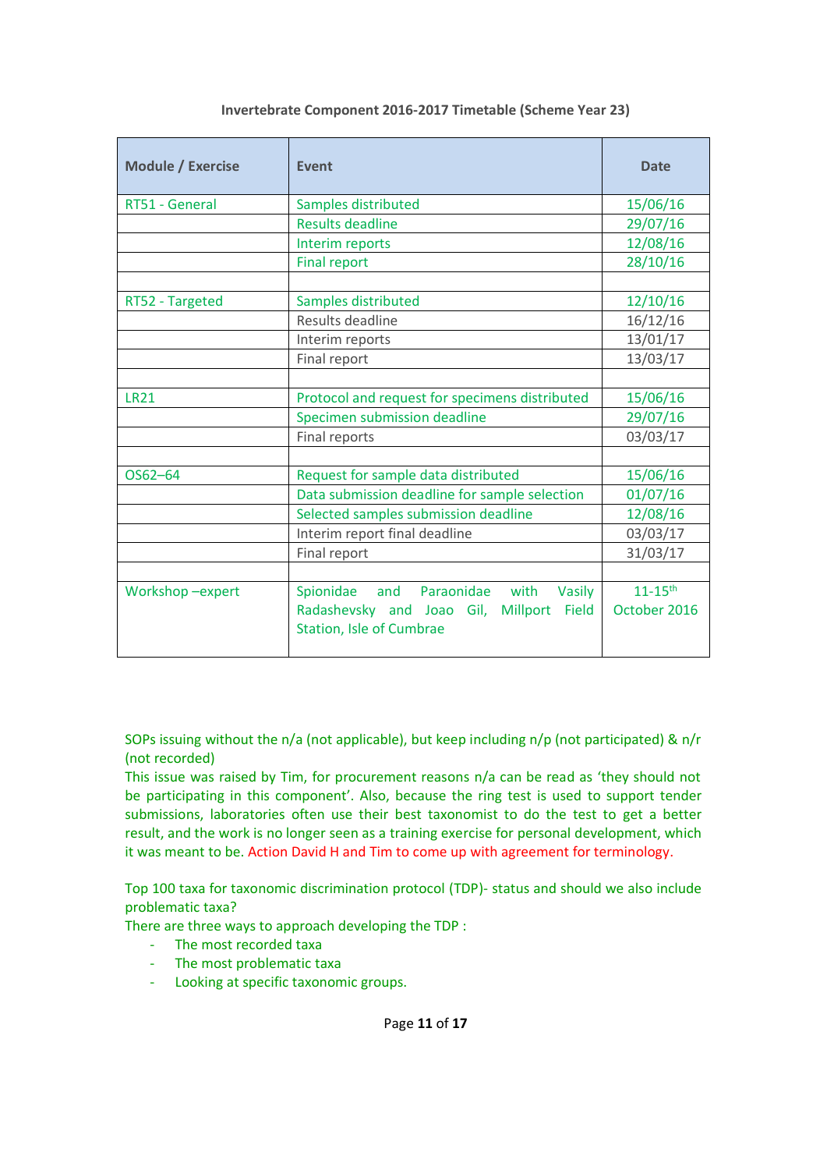| <b>Module / Exercise</b> | Event                                                                                                                        | <b>Date</b>                             |
|--------------------------|------------------------------------------------------------------------------------------------------------------------------|-----------------------------------------|
| RT51 - General           | Samples distributed                                                                                                          | 15/06/16                                |
|                          | <b>Results deadline</b>                                                                                                      | 29/07/16                                |
|                          | Interim reports                                                                                                              | 12/08/16                                |
|                          | <b>Final report</b>                                                                                                          | 28/10/16                                |
|                          |                                                                                                                              |                                         |
| RT52 - Targeted          | Samples distributed                                                                                                          | 12/10/16                                |
|                          | Results deadline                                                                                                             | 16/12/16                                |
|                          | Interim reports                                                                                                              | 13/01/17                                |
|                          | Final report                                                                                                                 | 13/03/17                                |
|                          |                                                                                                                              |                                         |
| <b>LR21</b>              | Protocol and request for specimens distributed                                                                               | 15/06/16                                |
|                          | Specimen submission deadline                                                                                                 | 29/07/16                                |
|                          | Final reports                                                                                                                | 03/03/17                                |
|                          |                                                                                                                              |                                         |
| OS62-64                  | Request for sample data distributed                                                                                          | 15/06/16                                |
|                          | Data submission deadline for sample selection                                                                                | 01/07/16                                |
|                          | Selected samples submission deadline                                                                                         | 12/08/16                                |
|                          | Interim report final deadline                                                                                                | 03/03/17                                |
|                          | Final report                                                                                                                 | 31/03/17                                |
|                          |                                                                                                                              |                                         |
| Workshop-expert          | Spionidae<br>and Paraonidae with<br>Vasily<br>Radashevsky and Joao Gil, Millport<br><b>Field</b><br>Station, Isle of Cumbrae | $11 - 15$ <sup>th</sup><br>October 2016 |

## **Invertebrate Component 2016-2017 Timetable (Scheme Year 23)**

SOPs issuing without the n/a (not applicable), but keep including n/p (not participated) & n/r (not recorded)

This issue was raised by Tim, for procurement reasons n/a can be read as 'they should not be participating in this component'. Also, because the ring test is used to support tender submissions, laboratories often use their best taxonomist to do the test to get a better result, and the work is no longer seen as a training exercise for personal development, which it was meant to be. Action David H and Tim to come up with agreement for terminology.

Top 100 taxa for taxonomic discrimination protocol (TDP)- status and should we also include problematic taxa?

There are three ways to approach developing the TDP :

- The most recorded taxa
- The most problematic taxa
- Looking at specific taxonomic groups.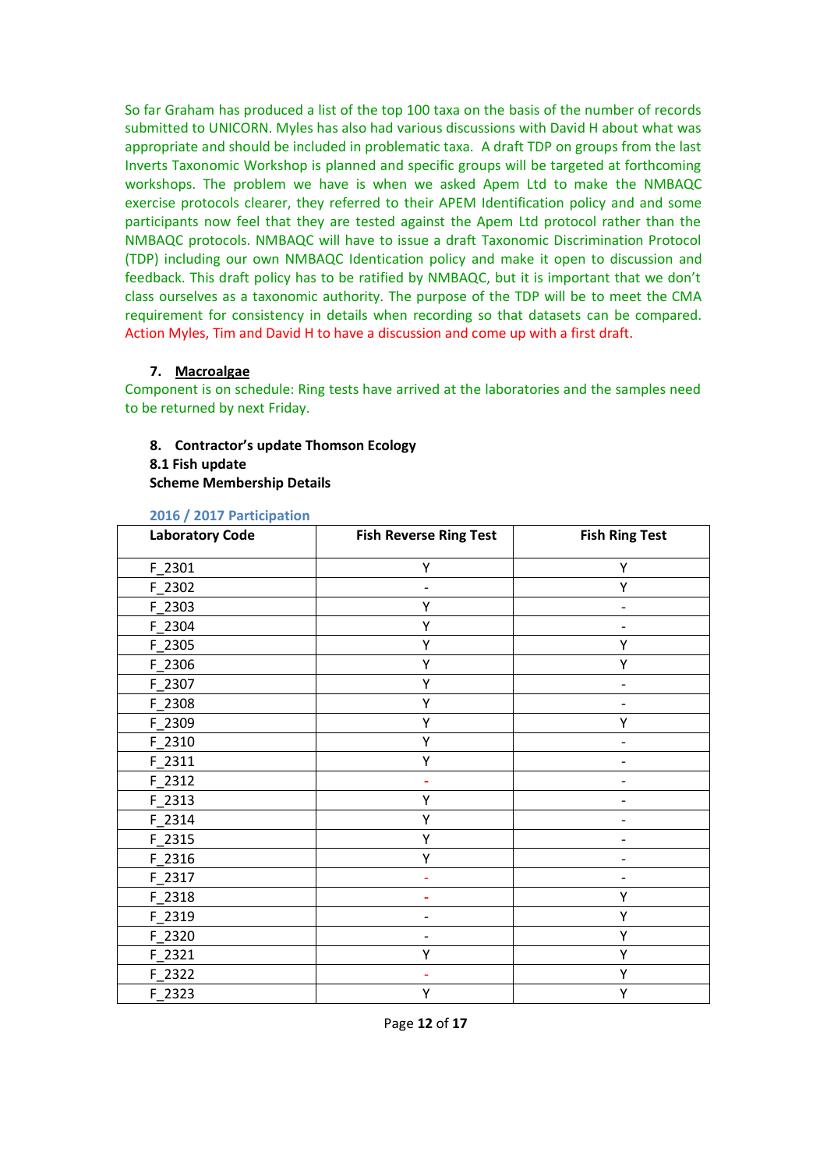So far Graham has produced a list of the top 100 taxa on the basis of the number of records submitted to UNICORN. Myles has also had various discussions with David H about what was appropriate and should be included in problematic taxa. A draft TDP on groups from the last Inverts Taxonomic Workshop is planned and specific groups will be targeted at forthcoming workshops. The problem we have is when we asked Apem Ltd to make the NMBAQC exercise protocols clearer, they referred to their APEM Identification policy and and some participants now feel that they are tested against the Apem Ltd protocol rather than the NMBAQC protocols. NMBAQC will have to issue a draft Taxonomic Discrimination Protocol (TDP) including our own NMBAQC Identication policy and make it open to discussion and feedback. This draft policy has to be ratified by NMBAQC, but it is important that we don't class ourselves as a taxonomic authority. The purpose of the TDP will be to meet the CMA requirement for consistency in details when recording so that datasets can be compared. Action Myles, Tim and David H to have a discussion and come up with a first draft.

## **7. Macroalgae**

Component is on schedule: Ring tests have arrived at the laboratories and the samples need to be returned by next Friday.

#### **8. Contractor's update Thomson Ecology 8.1 Fish update**

**Scheme Membership Details**

| <b>Laboratory Code</b> | <b>Fish Reverse Ring Test</b> | <b>Fish Ring Test</b> |
|------------------------|-------------------------------|-----------------------|
| F 2301                 | Υ                             | Υ                     |
| F_2302                 | $\overline{\phantom{0}}$      | Υ                     |
| F 2303                 | Y                             | -                     |
| F_2304                 | Υ                             | -                     |
| F 2305                 | Y                             | Υ                     |
| F_2306                 | Υ                             | Υ                     |
| F_2307                 | Υ                             |                       |
| F 2308                 | Y                             |                       |
| F_2309                 | Υ                             | Υ                     |
| $F_2310$               | Υ                             |                       |
| F 2311                 | Υ                             | -                     |
| $F_2312$               |                               |                       |
| F_2313                 | Υ                             | $\overline{a}$        |
| F_2314                 | Υ                             |                       |
| $F_2315$               | Υ                             | -                     |
| F 2316                 | Υ                             |                       |
| F_2317                 | ۰                             | -                     |
| F_2318                 |                               | Υ                     |
| F_2319                 |                               | Υ                     |
| F_2320                 | $\overline{a}$                | Υ                     |
| F_2321                 | Υ                             | Υ                     |
| F_2322                 |                               | Υ                     |
| $F_2323$               | Υ                             | Υ                     |

#### **2016 / 2017 Participation**

Page **12** of **17**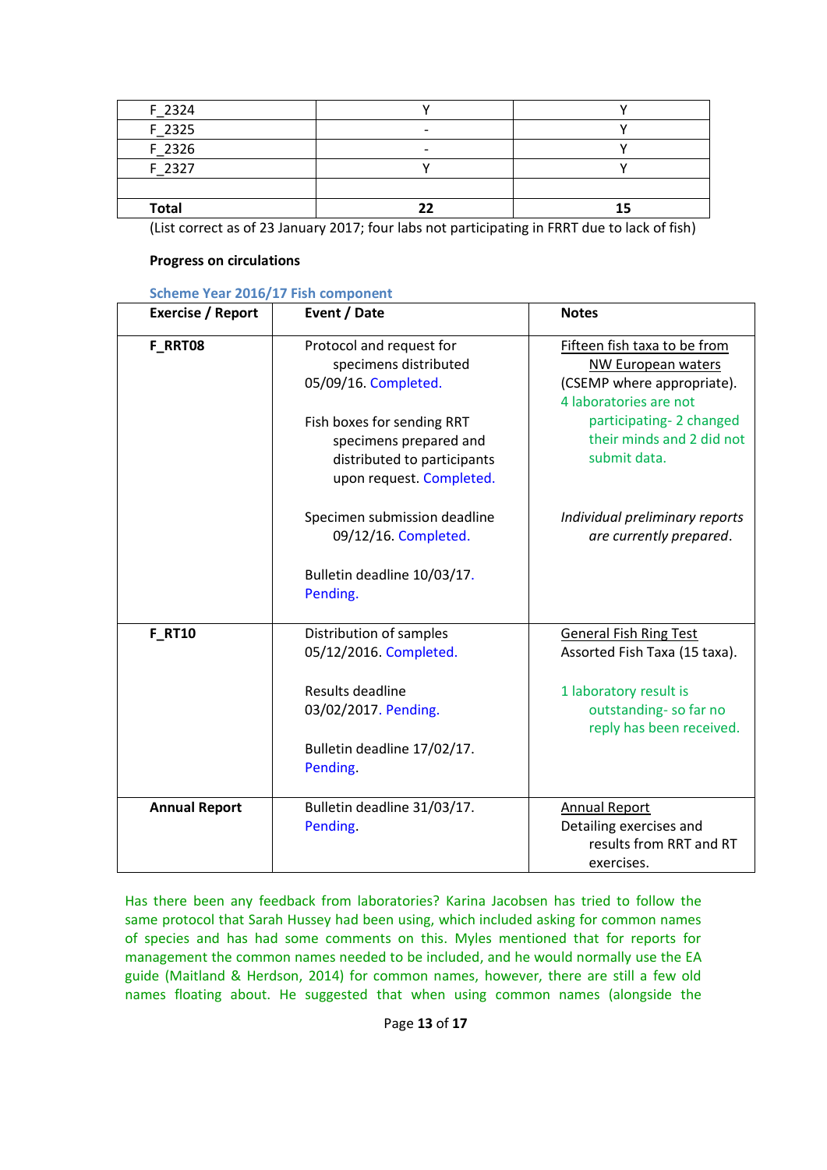| F 2324       |                          |    |
|--------------|--------------------------|----|
| F 2325       |                          |    |
| F 2326       | $\overline{\phantom{0}}$ |    |
| F 2327       |                          |    |
|              |                          |    |
| <b>Total</b> |                          | 15 |

(List correct as of 23 January 2017; four labs not participating in FRRT due to lack of fish)

## **Progress on circulations**

## **Scheme Year 2016/17 Fish component**

| <b>Exercise / Report</b> | Event / Date                                                                                                    | <b>Notes</b>                                                                                                      |
|--------------------------|-----------------------------------------------------------------------------------------------------------------|-------------------------------------------------------------------------------------------------------------------|
| F_RRT08                  | Protocol and request for<br>specimens distributed<br>05/09/16. Completed.                                       | Fifteen fish taxa to be from<br><b>NW European waters</b><br>(CSEMP where appropriate).<br>4 laboratories are not |
|                          | Fish boxes for sending RRT<br>specimens prepared and<br>distributed to participants<br>upon request. Completed. | participating-2 changed<br>their minds and 2 did not<br>submit data.                                              |
|                          | Specimen submission deadline<br>09/12/16. Completed.                                                            | Individual preliminary reports<br>are currently prepared.                                                         |
|                          | Bulletin deadline 10/03/17.<br>Pending.                                                                         |                                                                                                                   |
| <b>F RT10</b>            | Distribution of samples<br>05/12/2016. Completed.                                                               | <b>General Fish Ring Test</b><br>Assorted Fish Taxa (15 taxa).                                                    |
|                          | Results deadline<br>03/02/2017. Pending.                                                                        | 1 laboratory result is<br>outstanding- so far no<br>reply has been received.                                      |
|                          | Bulletin deadline 17/02/17.<br>Pending.                                                                         |                                                                                                                   |
| <b>Annual Report</b>     | Bulletin deadline 31/03/17.<br>Pending.                                                                         | <b>Annual Report</b><br>Detailing exercises and<br>results from RRT and RT<br>exercises.                          |

Has there been any feedback from laboratories? Karina Jacobsen has tried to follow the same protocol that Sarah Hussey had been using, which included asking for common names of species and has had some comments on this. Myles mentioned that for reports for management the common names needed to be included, and he would normally use the EA guide (Maitland & Herdson, 2014) for common names, however, there are still a few old names floating about. He suggested that when using common names (alongside the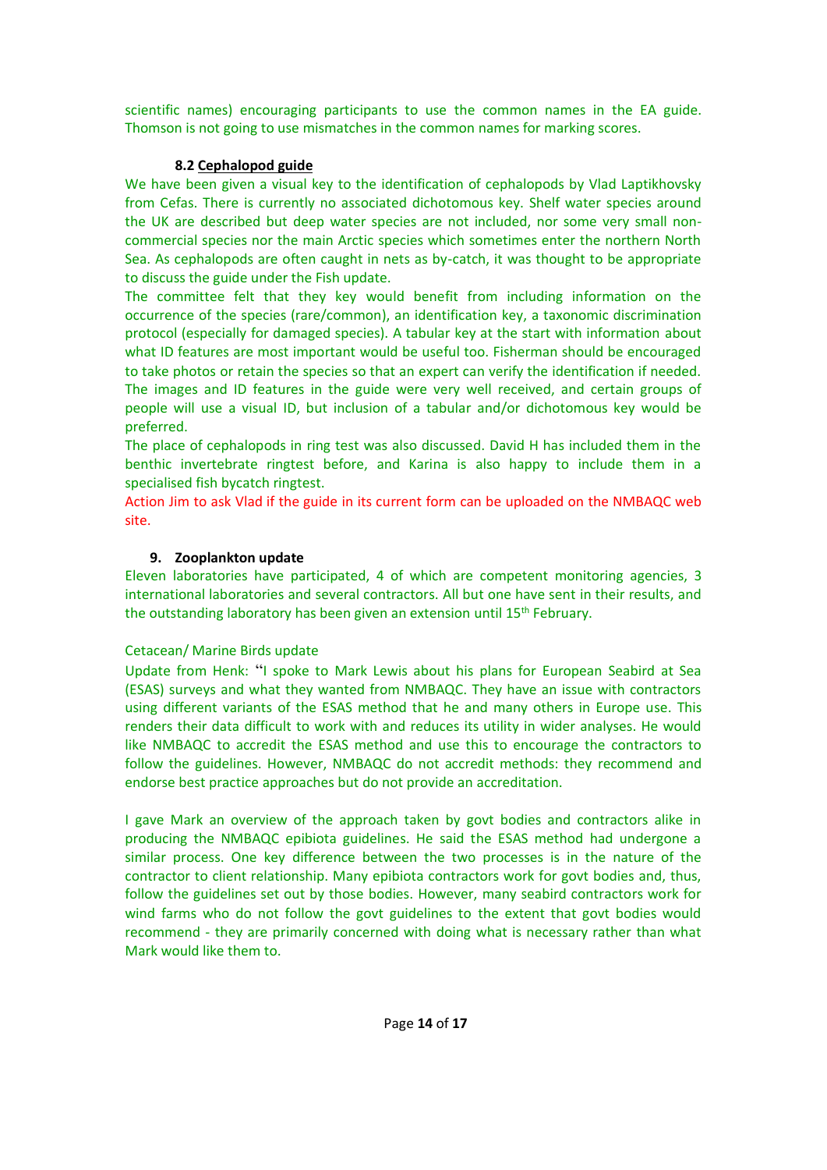scientific names) encouraging participants to use the common names in the EA guide. Thomson is not going to use mismatches in the common names for marking scores.

# **8.2 Cephalopod guide**

We have been given a visual key to the identification of cephalopods by Vlad Laptikhovsky from Cefas. There is currently no associated dichotomous key. Shelf water species around the UK are described but deep water species are not included, nor some very small noncommercial species nor the main Arctic species which sometimes enter the northern North Sea. As cephalopods are often caught in nets as by-catch, it was thought to be appropriate to discuss the guide under the Fish update.

The committee felt that they key would benefit from including information on the occurrence of the species (rare/common), an identification key, a taxonomic discrimination protocol (especially for damaged species). A tabular key at the start with information about what ID features are most important would be useful too. Fisherman should be encouraged to take photos or retain the species so that an expert can verify the identification if needed. The images and ID features in the guide were very well received, and certain groups of people will use a visual ID, but inclusion of a tabular and/or dichotomous key would be preferred.

The place of cephalopods in ring test was also discussed. David H has included them in the benthic invertebrate ringtest before, and Karina is also happy to include them in a specialised fish bycatch ringtest.

Action Jim to ask Vlad if the guide in its current form can be uploaded on the NMBAQC web site.

# **9. Zooplankton update**

Eleven laboratories have participated, 4 of which are competent monitoring agencies, 3 international laboratories and several contractors. All but one have sent in their results, and the outstanding laboratory has been given an extension until 15<sup>th</sup> February.

# Cetacean/ Marine Birds update

Update from Henk: "I spoke to Mark Lewis about his plans for European Seabird at Sea (ESAS) surveys and what they wanted from NMBAQC. They have an issue with contractors using different variants of the ESAS method that he and many others in Europe use. This renders their data difficult to work with and reduces its utility in wider analyses. He would like NMBAQC to accredit the ESAS method and use this to encourage the contractors to follow the guidelines. However, NMBAQC do not accredit methods: they recommend and endorse best practice approaches but do not provide an accreditation.

I gave Mark an overview of the approach taken by govt bodies and contractors alike in producing the NMBAQC epibiota guidelines. He said the ESAS method had undergone a similar process. One key difference between the two processes is in the nature of the contractor to client relationship. Many epibiota contractors work for govt bodies and, thus, follow the guidelines set out by those bodies. However, many seabird contractors work for wind farms who do not follow the govt guidelines to the extent that govt bodies would recommend - they are primarily concerned with doing what is necessary rather than what Mark would like them to.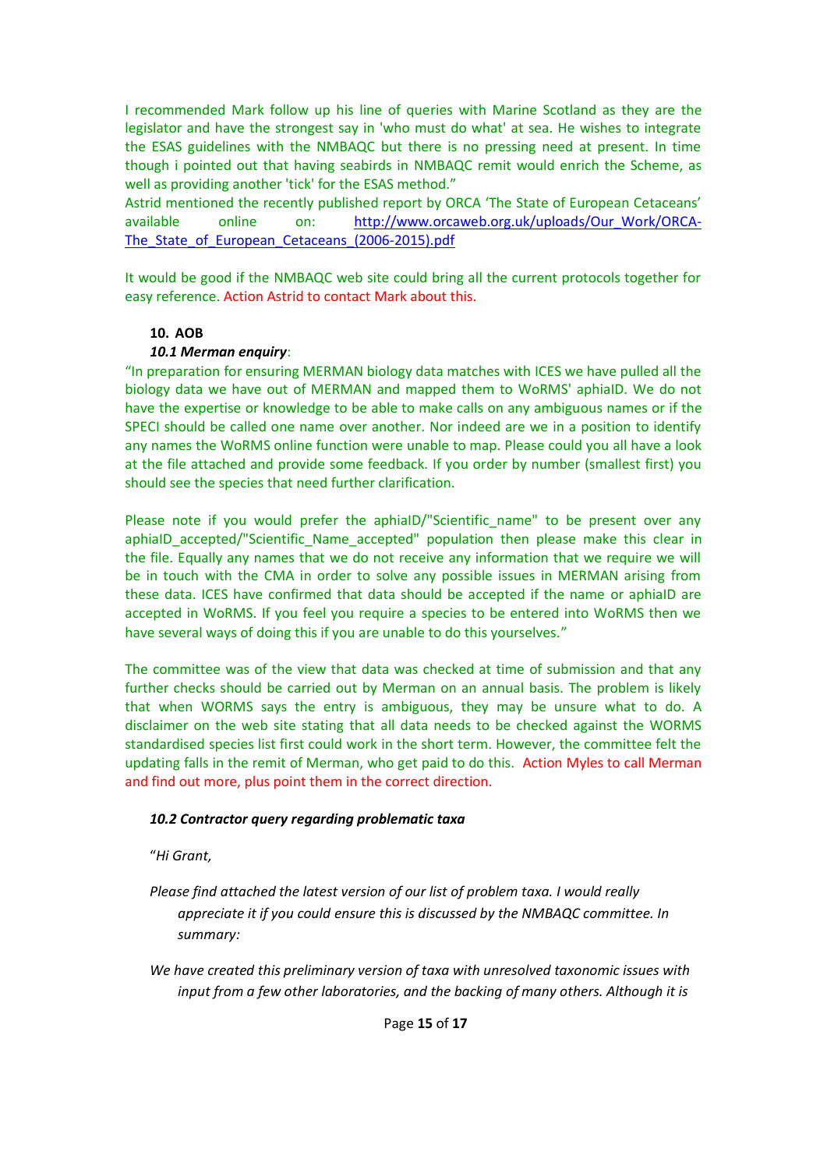I recommended Mark follow up his line of queries with Marine Scotland as they are the legislator and have the strongest say in 'who must do what' at sea. He wishes to integrate the ESAS guidelines with the NMBAQC but there is no pressing need at present. In time though i pointed out that having seabirds in NMBAQC remit would enrich the Scheme, as well as providing another 'tick' for the ESAS method."

Astrid mentioned the recently published report by ORCA 'The State of European Cetaceans' available online on: [http://www.orcaweb.org.uk/uploads/Our\\_Work/ORCA-](http://www.orcaweb.org.uk/uploads/Our_Work/ORCA-The_State_of_European_Cetaceans_(2006-2015).pdf)The State of European Cetaceans (2006-2015).pdf

It would be good if the NMBAQC web site could bring all the current protocols together for easy reference. Action Astrid to contact Mark about this.

#### **10. AOB**

#### *10.1 Merman enquiry*:

"In preparation for ensuring MERMAN biology data matches with ICES we have pulled all the biology data we have out of MERMAN and mapped them to WoRMS' aphiaID. We do not have the expertise or knowledge to be able to make calls on any ambiguous names or if the SPECI should be called one name over another. Nor indeed are we in a position to identify any names the WoRMS online function were unable to map. Please could you all have a look at the file attached and provide some feedback. If you order by number (smallest first) you should see the species that need further clarification.

Please note if you would prefer the aphiaID/"Scientific name" to be present over any aphiaID\_accepted/"Scientific\_Name\_accepted" population then please make this clear in the file. Equally any names that we do not receive any information that we require we will be in touch with the CMA in order to solve any possible issues in MERMAN arising from these data. ICES have confirmed that data should be accepted if the name or aphiaID are accepted in WoRMS. If you feel you require a species to be entered into WoRMS then we have several ways of doing this if you are unable to do this yourselves."

The committee was of the view that data was checked at time of submission and that any further checks should be carried out by Merman on an annual basis. The problem is likely that when WORMS says the entry is ambiguous, they may be unsure what to do. A disclaimer on the web site stating that all data needs to be checked against the WORMS standardised species list first could work in the short term. However, the committee felt the updating falls in the remit of Merman, who get paid to do this. Action Myles to call Merman and find out more, plus point them in the correct direction.

#### *10.2 Contractor query regarding problematic taxa*

"*Hi Grant,* 

- *Please find attached the latest version of our list of problem taxa. I would really appreciate it if you could ensure this is discussed by the NMBAQC committee. In summary:*
- *We have created this preliminary version of taxa with unresolved taxonomic issues with input from a few other laboratories, and the backing of many others. Although it is*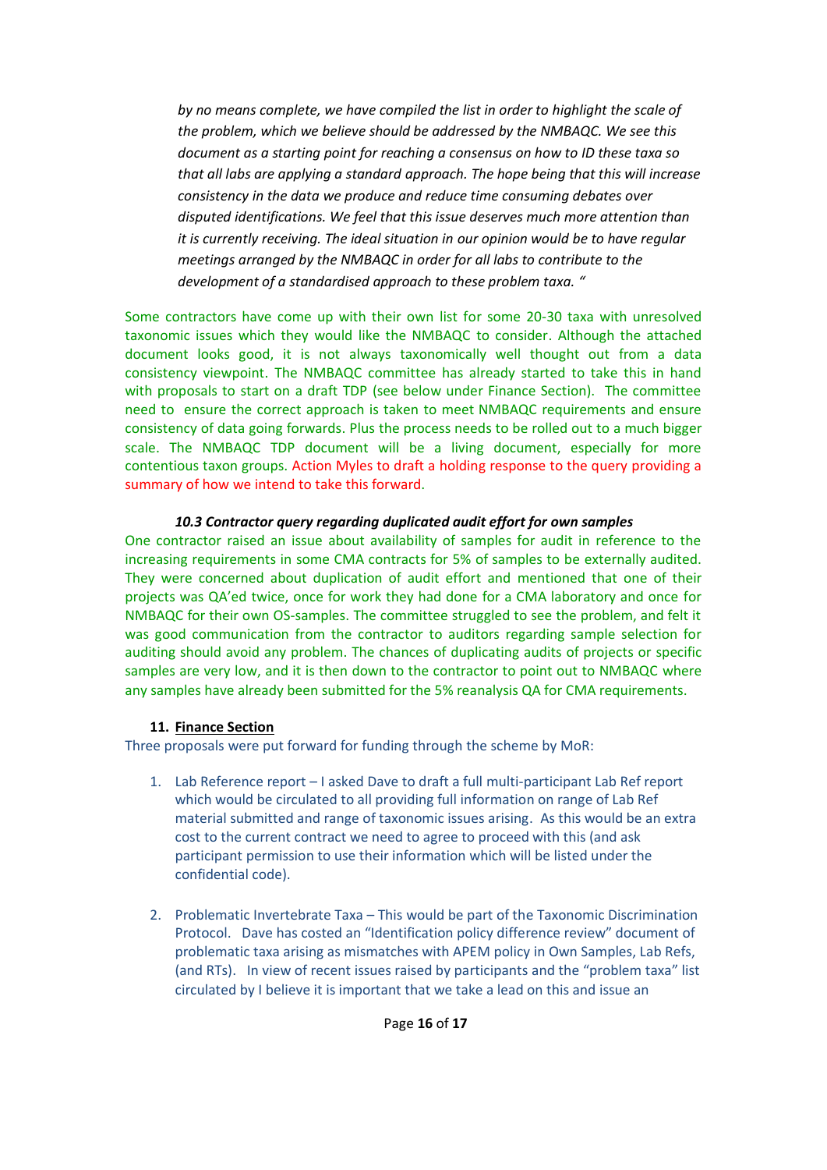*by no means complete, we have compiled the list in order to highlight the scale of the problem, which we believe should be addressed by the NMBAQC. We see this document as a starting point for reaching a consensus on how to ID these taxa so that all labs are applying a standard approach. The hope being that this will increase consistency in the data we produce and reduce time consuming debates over disputed identifications. We feel that this issue deserves much more attention than it is currently receiving. The ideal situation in our opinion would be to have regular meetings arranged by the NMBAQC in order for all labs to contribute to the development of a standardised approach to these problem taxa. "*

Some contractors have come up with their own list for some 20-30 taxa with unresolved taxonomic issues which they would like the NMBAQC to consider. Although the attached document looks good, it is not always taxonomically well thought out from a data consistency viewpoint. The NMBAQC committee has already started to take this in hand with proposals to start on a draft TDP (see below under Finance Section). The committee need to ensure the correct approach is taken to meet NMBAQC requirements and ensure consistency of data going forwards. Plus the process needs to be rolled out to a much bigger scale. The NMBAQC TDP document will be a living document, especially for more contentious taxon groups. Action Myles to draft a holding response to the query providing a summary of how we intend to take this forward.

## *10.3 Contractor query regarding duplicated audit effort for own samples*

One contractor raised an issue about availability of samples for audit in reference to the increasing requirements in some CMA contracts for 5% of samples to be externally audited. They were concerned about duplication of audit effort and mentioned that one of their projects was QA'ed twice, once for work they had done for a CMA laboratory and once for NMBAQC for their own OS-samples. The committee struggled to see the problem, and felt it was good communication from the contractor to auditors regarding sample selection for auditing should avoid any problem. The chances of duplicating audits of projects or specific samples are very low, and it is then down to the contractor to point out to NMBAQC where any samples have already been submitted for the 5% reanalysis QA for CMA requirements.

## **11. Finance Section**

Three proposals were put forward for funding through the scheme by MoR:

- 1. Lab Reference report I asked Dave to draft a full multi-participant Lab Ref report which would be circulated to all providing full information on range of Lab Ref material submitted and range of taxonomic issues arising. As this would be an extra cost to the current contract we need to agree to proceed with this (and ask participant permission to use their information which will be listed under the confidential code).
- 2. Problematic Invertebrate Taxa This would be part of the Taxonomic Discrimination Protocol. Dave has costed an "Identification policy difference review" document of problematic taxa arising as mismatches with APEM policy in Own Samples, Lab Refs, (and RTs). In view of recent issues raised by participants and the "problem taxa" list circulated by I believe it is important that we take a lead on this and issue an